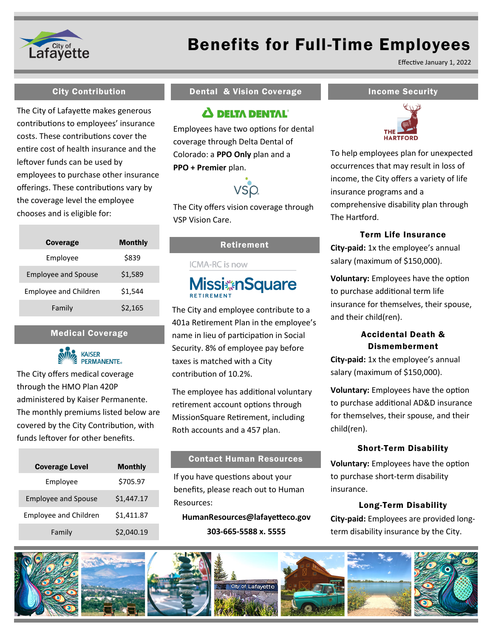

## Benefits for Full-Time Employees

Effective January 1, 2022

The City of Lafayette makes generous contributions to employees' insurance costs. These contributions cover the entire cost of health insurance and the leftover funds can be used by employees to purchase other insurance offerings. These contributions vary by the coverage level the employee chooses and is eligible for:

| Coverage                     | Monthly |
|------------------------------|---------|
| Employee                     | \$839   |
| <b>Employee and Spouse</b>   | \$1,589 |
| <b>Employee and Children</b> | \$1.544 |
| Family                       | \$2,165 |

#### Medical Coverage



The City offers medical coverage through the HMO Plan 420P administered by Kaiser Permanente. The monthly premiums listed below are covered by the City Contribution, with funds leftover for other benefits.

| <b>Coverage Level</b>        | <b>Monthly</b> |
|------------------------------|----------------|
| Employee                     | \$705.97       |
| <b>Employee and Spouse</b>   | \$1,447.17     |
| <b>Employee and Children</b> | \$1,411.87     |
| Family                       | \$2,040.19     |

### City Contribution **Income Security** Dental & Vision Coverage **Income Security**

### **A DELTA DENTAL**<sup>®</sup>

Employees have two options for dental coverage through Delta Dental of Colorado: a **PPO Only** plan and a **PPO + Premier** plan.



The City offers vision coverage through VSP Vision Care.

#### Retirement

**ICMA-RC** is now

# **Missi**#nSquare

The City and employee contribute to a 401a Retirement Plan in the employee's name in lieu of participation in Social Security. 8% of employee pay before taxes is matched with a City contribution of 10.2%.

The employee has additional voluntary retirement account options through MissionSquare Retirement, including Roth accounts and a 457 plan.

#### Contact Human Resources

If you have questions about your benefits, please reach out to Human Resources:

**HumanResources@lafayetteco.gov 303-665-5588 x. 5555**



To help employees plan for unexpected occurrences that may result in loss of income, the City offers a variety of life insurance programs and a comprehensive disability plan through The Hartford.

#### Term Life Insurance

**City-paid:** 1x the employee's annual salary (maximum of \$150,000).

**Voluntary:** Employees have the option to purchase additional term life insurance for themselves, their spouse, and their child(ren).

### Accidental Death & Dismemberment

**City-paid:** 1x the employee's annual salary (maximum of \$150,000).

**Voluntary:** Employees have the option to purchase additional AD&D insurance for themselves, their spouse, and their child(ren).

#### Short-Term Disability

**Voluntary:** Employees have the option to purchase short-term disability insurance.

#### Long-Term Disability

**City-paid:** Employees are provided longterm disability insurance by the City.